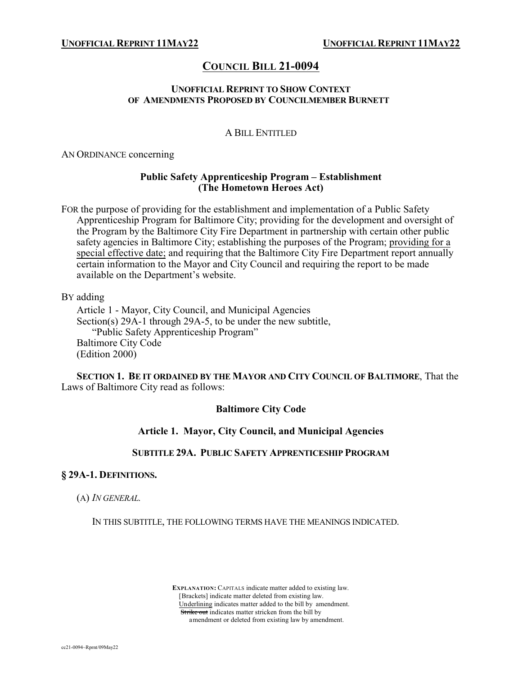# **COUNCIL BILL 21-0094**

### **UNOFFICIAL REPRINT TO SHOW CONTEXT OF AMENDMENTS PROPOSED BY COUNCILMEMBER BURNETT**

## A BILL ENTITLED

AN ORDINANCE concerning

### **Public Safety Apprenticeship Program – Establishment (The Hometown Heroes Act)**

FOR the purpose of providing for the establishment and implementation of a Public Safety Apprenticeship Program for Baltimore City; providing for the development and oversight of the Program by the Baltimore City Fire Department in partnership with certain other public safety agencies in Baltimore City; establishing the purposes of the Program; providing for a special effective date; and requiring that the Baltimore City Fire Department report annually certain information to the Mayor and City Council and requiring the report to be made available on the Department's website.

BY adding

Article 1 - Mayor, City Council, and Municipal Agencies Section(s) 29A-1 through 29A-5, to be under the new subtitle, "Public Safety Apprenticeship Program" Baltimore City Code (Edition 2000)

**SECTION 1. BE IT ORDAINED BY THE MAYOR AND CITY COUNCIL OF BALTIMORE**, That the Laws of Baltimore City read as follows:

#### **Baltimore City Code**

#### **Article 1. Mayor, City Council, and Municipal Agencies**

#### **SUBTITLE 29A. PUBLIC SAFETY APPRENTICESHIP PROGRAM**

#### **§ 29A-1. DEFINITIONS.**

(A) *IN GENERAL.*

IN THIS SUBTITLE, THE FOLLOWING TERMS HAVE THE MEANINGS INDICATED.

 **EXPLANATION:** CAPITALS indicate matter added to existing law. [Brackets] indicate matter deleted from existing law. Underlining indicates matter added to the bill by amendment. Strike out indicates matter stricken from the bill by amendment or deleted from existing law by amendment.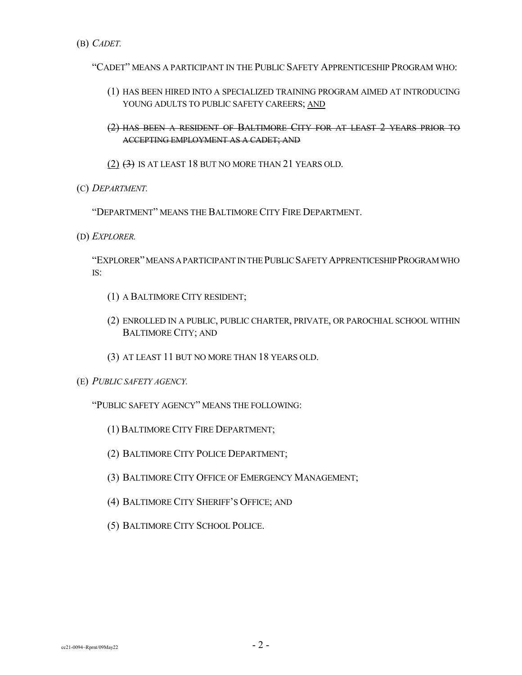(B) *CADET.*

"CADET" MEANS A PARTICIPANT IN THE PUBLIC SAFETY APPRENTICESHIP PROGRAM WHO:

- (1) HAS BEEN HIRED INTO A SPECIALIZED TRAINING PROGRAM AIMED AT INTRODUCING YOUNG ADULTS TO PUBLIC SAFETY CAREERS; AND
- (2) HAS BEEN A RESIDENT OF BALTIMORE CITY FOR AT LEAST 2 YEARS PRIOR TO ACCEPTING EMPLOYMENT AS A CADET; AND
- (2)  $(3)$  IS AT LEAST 18 BUT NO MORE THAN 21 YEARS OLD.
- (C) *DEPARTMENT.*

"DEPARTMENT" MEANS THE BALTIMORE CITY FIRE DEPARTMENT.

(D) *EXPLORER.*

"EXPLORER"MEANSAPARTICIPANTINTHEPUBLICSAFETYAPPRENTICESHIPPROGRAMWHO IS:

- (1) A BALTIMORE CITY RESIDENT;
- (2) ENROLLED IN A PUBLIC, PUBLIC CHARTER, PRIVATE, OR PAROCHIAL SCHOOL WITHIN BALTIMORE CITY; AND
- (3) AT LEAST 11 BUT NO MORE THAN 18 YEARS OLD.
- (E) *PUBLIC SAFETY AGENCY.*
	- "PUBLIC SAFETY AGENCY" MEANS THE FOLLOWING:
		- (1) BALTIMORE CITY FIRE DEPARTMENT;
		- (2) BALTIMORE CITY POLICE DEPARTMENT;
		- (3) BALTIMORE CITY OFFICE OF EMERGENCY MANAGEMENT;
		- (4) BALTIMORE CITY SHERIFF'S OFFICE; AND
		- (5) BALTIMORE CITY SCHOOL POLICE.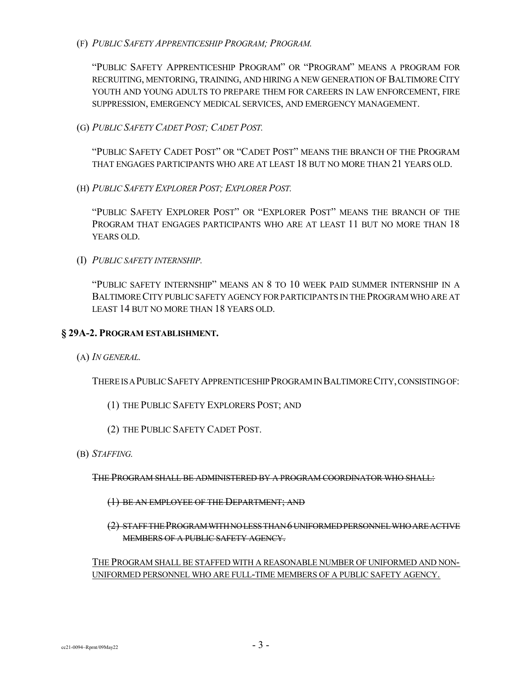(F) *PUBLIC SAFETY APPRENTICESHIP PROGRAM; PROGRAM.*

"PUBLIC SAFETY APPRENTICESHIP PROGRAM" OR "PROGRAM" MEANS A PROGRAM FOR RECRUITING, MENTORING, TRAINING, AND HIRING A NEW GENERATION OF BALTIMORE CITY YOUTH AND YOUNG ADULTS TO PREPARE THEM FOR CAREERS IN LAW ENFORCEMENT, FIRE SUPPRESSION, EMERGENCY MEDICAL SERVICES, AND EMERGENCY MANAGEMENT.

(G) *PUBLIC SAFETY CADET POST; CADET POST.*

"PUBLIC SAFETY CADET POST" OR "CADET POST" MEANS THE BRANCH OF THE PROGRAM THAT ENGAGES PARTICIPANTS WHO ARE AT LEAST 18 BUT NO MORE THAN 21 YEARS OLD.

(H) *PUBLIC SAFETY EXPLORER POST; EXPLORER POST.*

"PUBLIC SAFETY EXPLORER POST" OR "EXPLORER POST" MEANS THE BRANCH OF THE PROGRAM THAT ENGAGES PARTICIPANTS WHO ARE AT LEAST 11 BUT NO MORE THAN 18 YEARS OLD.

(I) *PUBLIC SAFETY INTERNSHIP.*

"PUBLIC SAFETY INTERNSHIP" MEANS AN 8 TO 10 WEEK PAID SUMMER INTERNSHIP IN A BALTIMORECITY PUBLICSAFETY AGENCY FORPARTICIPANTS IN THEPROGRAMWHO ARE AT LEAST 14 BUT NO MORE THAN 18 YEARS OLD.

### **§ 29A-2. PROGRAM ESTABLISHMENT.**

(A) *IN GENERAL.*

THEREISAPUBLICSAFETYAPPRENTICESHIPPROGRAMINBALTIMORECITY,CONSISTINGOF:

- (1) THE PUBLIC SAFETY EXPLORERS POST; AND
- (2) THE PUBLIC SAFETY CADET POST.
- (B) *STAFFING.*

THE PROGRAM SHALL BE ADMINISTERED BY A PROGRAM COORDINATOR WHO SHALL:

- (1) BE AN EMPLOYEE OF THE DEPARTMENT; AND
- (2) STAFFTHEPROGRAMWITHNOLESSTHAN6 UNIFORMEDPERSONNELWHOAREACTIVE MEMBERS OF A PUBLIC SAFETY AGENCY.

THE PROGRAM SHALL BE STAFFED WITH A REASONABLE NUMBER OF UNIFORMED AND NON-UNIFORMED PERSONNEL WHO ARE FULL-TIME MEMBERS OF A PUBLIC SAFETY AGENCY.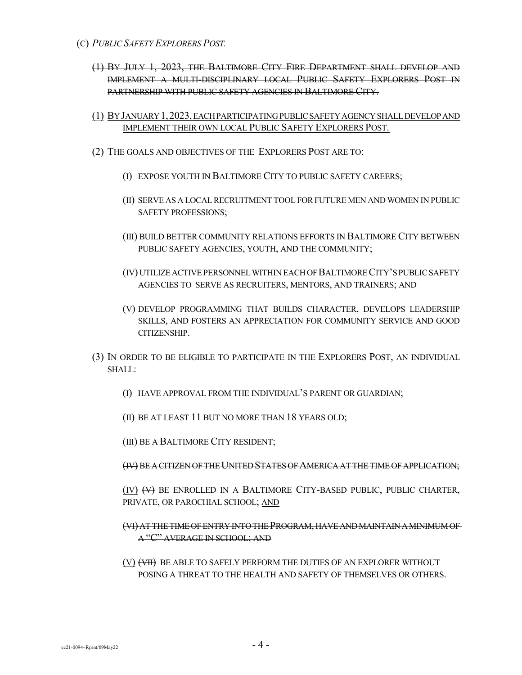- (1) BY JULY 1, 2023, THE BALTIMORE CITY FIRE DEPARTMENT SHALL DEVELOP AND IMPLEMENT A MULTI-DISCIPLINARY LOCAL PUBLIC SAFETY EXPLORERS POST IN PARTNERSHIP WITH PUBLIC SAFETY AGENCIES IN BALTIMORE CITY.
- (1) BYJANUARY1,2023,EACHPARTICIPATINGPUBLICSAFETYAGENCYSHALLDEVELOPAND IMPLEMENT THEIR OWN LOCAL PUBLIC SAFETY EXPLORERS POST.
- (2) THE GOALS AND OBJECTIVES OF THE EXPLORERS POST ARE TO:
	- (I) EXPOSE YOUTH IN BALTIMORE CITY TO PUBLIC SAFETY CAREERS;
	- (II) SERVE AS A LOCALRECRUITMENT TOOL FORFUTURE MEN AND WOMEN IN PUBLIC SAFETY PROFESSIONS;
	- (III) BUILD BETTER COMMUNITY RELATIONS EFFORTS IN BALTIMORE CITY BETWEEN PUBLIC SAFETY AGENCIES, YOUTH, AND THE COMMUNITY;
	- (IV) UTILIZE ACTIVE PERSONNEL WITHIN EACH OF BALTIMORE CITY'S PUBLIC SAFETY AGENCIES TO SERVE AS RECRUITERS, MENTORS, AND TRAINERS; AND
	- (V) DEVELOP PROGRAMMING THAT BUILDS CHARACTER, DEVELOPS LEADERSHIP SKILLS, AND FOSTERS AN APPRECIATION FOR COMMUNITY SERVICE AND GOOD CITIZENSHIP.
- (3) IN ORDER TO BE ELIGIBLE TO PARTICIPATE IN THE EXPLORERS POST, AN INDIVIDUAL SHALL:
	- (I) HAVE APPROVAL FROM THE INDIVIDUAL'S PARENT OR GUARDIAN;
	- (II) BE AT LEAST 11 BUT NO MORE THAN 18 YEARS OLD;
	- (III) BE A BALTIMORE CITY RESIDENT;
	- (IV) BE A CITIZEN OFTHEUNITEDSTATESOFAMERICAAT THETIME OF APPLICATION;

(IV) (V) BE ENROLLED IN A BALTIMORE CITY-BASED PUBLIC, PUBLIC CHARTER, PRIVATE, OR PAROCHIAL SCHOOL; AND

## (VI) AT THETIME OFENTRY INTOTHEPROGRAM, HAVE ANDMAINTAIN AMINIMUMOF A "C" AVERAGE IN SCHOOL; AND

(V)  $\overline{(V)}$  BE ABLE TO SAFELY PERFORM THE DUTIES OF AN EXPLORER WITHOUT POSING A THREAT TO THE HEALTH AND SAFETY OF THEMSELVES OR OTHERS.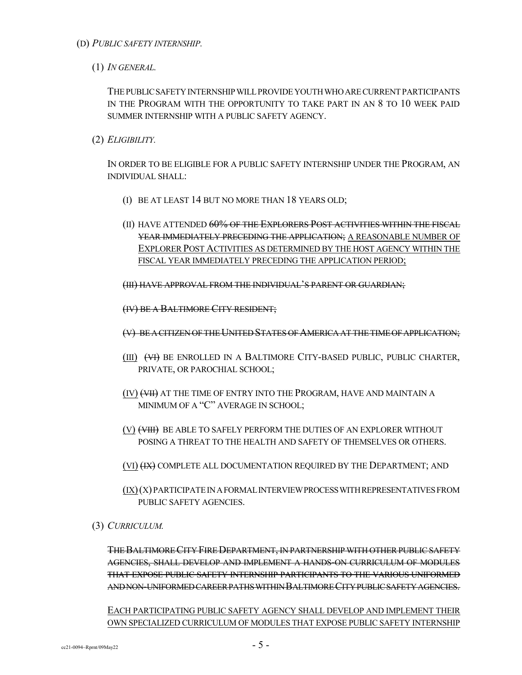- (D) *PUBLIC SAFETY INTERNSHIP.*
	- (1) *IN GENERAL.*

THEPUBLICSAFETYINTERNSHIPWILLPROVIDEYOUTHWHOARECURRENTPARTICIPANTS IN THE PROGRAM WITH THE OPPORTUNITY TO TAKE PART IN AN 8 TO 10 WEEK PAID SUMMER INTERNSHIP WITH A PUBLIC SAFETY AGENCY.

(2) *ELIGIBILITY.*

IN ORDER TO BE ELIGIBLE FOR A PUBLIC SAFETY INTERNSHIP UNDER THE PROGRAM, AN INDIVIDUAL SHALL:

- (I) BE AT LEAST 14 BUT NO MORE THAN 18 YEARS OLD;
- (II) HAVE ATTENDED 60% OF THE EXPLORERS POST ACTIVITIES WITHIN THE FISCAL YEAR IMMEDIATELY PRECEDING THE APPLICATION; A REASONABLE NUMBER OF EXPLORER POST ACTIVITIES AS DETERMINED BY THE HOST AGENCY WITHIN THE FISCAL YEAR IMMEDIATELY PRECEDING THE APPLICATION PERIOD;

(III) HAVE APPROVAL FROM THE INDIVIDUAL'S PARENT OR GUARDIAN;

(IV) BE A BALTIMORE CITY RESIDENT;

(V) BE A CITIZEN OF THE UNITED STATES OF AMERICA AT THE TIME OF APPLICATION;

- (III) (VI) BE ENROLLED IN A BALTIMORE CITY-BASED PUBLIC, PUBLIC CHARTER, PRIVATE, OR PAROCHIAL SCHOOL;
- (IV) (VII) AT THE TIME OF ENTRY INTO THE PROGRAM, HAVE AND MAINTAIN A MINIMUM OF A "C" AVERAGE IN SCHOOL;
- (V) (VIII) BE ABLE TO SAFELY PERFORM THE DUTIES OF AN EXPLORER WITHOUT POSING A THREAT TO THE HEALTH AND SAFETY OF THEMSELVES OR OTHERS.
- (VI)  $(HX)$  COMPLETE ALL DOCUMENTATION REQUIRED BY THE DEPARTMENT; AND
- $(IX)(X)$  PARTICIPATE IN A FORMAL INTERVIEW PROCESS WITH REPRESENTATIVES FROM PUBLIC SAFETY AGENCIES.
- (3) *CURRICULUM.*

THEBALTIMORECITY FIREDEPARTMENT, IN PARTNERSHIP WITH OTHERPUBLICSAFETY AGENCIES, SHALL DEVELOP AND IMPLEMENT A HANDS-ON CURRICULUM OF MODULES THAT EXPOSE PUBLIC SAFETY INTERNSHIP PARTICIPANTS TO THE VARIOUS UNIFORMED AND NON-UNIFORMED CAREER PATHS WITHIN BALTIMORE CITY PUBLIC SAFETY AGENCIES.

EACH PARTICIPATING PUBLIC SAFETY AGENCY SHALL DEVELOP AND IMPLEMENT THEIR OWN SPECIALIZED CURRICULUM OF MODULES THAT EXPOSE PUBLIC SAFETY INTERNSHIP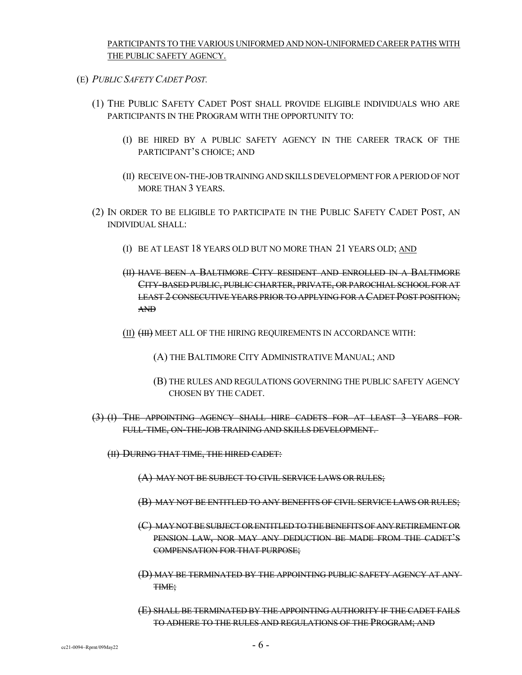PARTICIPANTS TO THE VARIOUS UNIFORMED AND NON-UNIFORMED CAREER PATHS WITH THE PUBLIC SAFETY AGENCY.

- (E) *PUBLIC SAFETY CADET POST.*
	- (1) THE PUBLIC SAFETY CADET POST SHALL PROVIDE ELIGIBLE INDIVIDUALS WHO ARE PARTICIPANTS IN THE PROGRAM WITH THE OPPORTUNITY TO:
		- (I) BE HIRED BY A PUBLIC SAFETY AGENCY IN THE CAREER TRACK OF THE PARTICIPANT'S CHOICE; AND
		- (II) RECEIVE ON-THE-JOBTRAINING AND SKILLSDEVELOPMENT FORA PERIOD OFNOT MORE THAN 3 YEARS.
	- (2) IN ORDER TO BE ELIGIBLE TO PARTICIPATE IN THE PUBLIC SAFETY CADET POST, AN INDIVIDUAL SHALL:
		- (I) BE AT LEAST 18 YEARS OLD BUT NO MORE THAN 21 YEARS OLD; AND
		- (II) HAVE BEEN A BALTIMORE CITY RESIDENT AND ENROLLED IN A BALTIMORE CITY-BASED PUBLIC, PUBLIC CHARTER, PRIVATE, OR PAROCHIAL SCHOOL FOR AT LEAST 2 CONSECUTIVE YEARS PRIOR TO APPLYING FOR A CADET POST POSITION; AND
		- (II) (III) MEET ALL OF THE HIRING REQUIREMENTS IN ACCORDANCE WITH:
			- (A) THE BALTIMORE CITY ADMINISTRATIVE MANUAL; AND
			- (B) THE RULES AND REGULATIONS GOVERNING THE PUBLIC SAFETY AGENCY CHOSEN BY THE CADET.
	- (3) (I) THE APPOINTING AGENCY SHALL HIRE CADETS FOR AT LEAST 3 YEARS FOR FULL-TIME, ON-THE-JOB TRAINING AND SKILLS DEVELOPMENT.
		- (II) DURING THAT TIME, THE HIRED CADET:
			- (A) MAY NOT BE SUBJECT TO CIVIL SERVICE LAWS OR RULES;
			- (B) MAY NOT BE ENTITLED TO ANY BENEFITS OF CIVIL SERVICE LAWS OR RULES;
			- (C) MAYNOTBESUBJECT ORENTITLEDTOTHEBENEFITSOFANYRETIREMENTOR PENSION LAW, NOR MAY ANY DEDUCTION BE MADE FROM THE CADET'S COMPENSATION FOR THAT PURPOSE;
			- (D) MAY BE TERMINATED BY THE APPOINTING PUBLIC SAFETY AGENCY AT ANY TIME;
			- (E) SHALL BE TERMINATED BY THE APPOINTING AUTHORITY IF THE CADET FAILS TO ADHERE TO THE RULES AND REGULATIONS OF THE PROGRAM; AND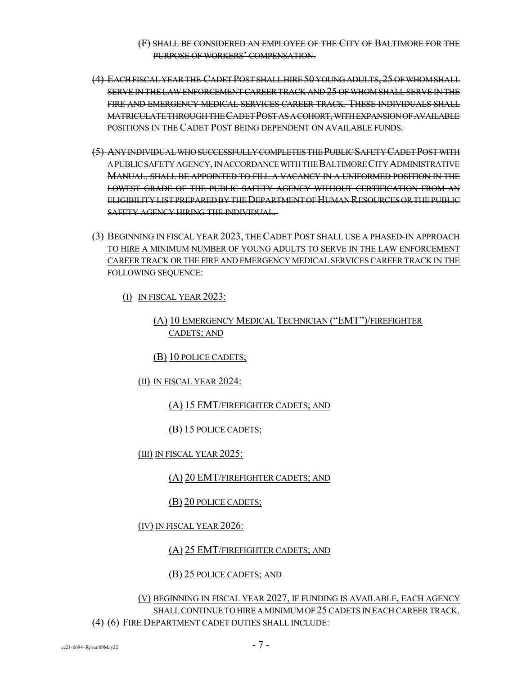### (F) SHALL BE CONSIDERED AN EMPLOYEE OF THE CITY OF BALTIMORE FOR THE PURPOSE OF WORKERS' COMPENSATION.

- (4) EACHFISCALYEARTHE CADETPOSTSHALLHIRE50 YOUNGADULTS, 25 OFWHOMSHALL SERVE IN THE LAW ENFORCEMENT CAREER TRACK AND 25 OF WHOM SHALL SERVE IN THE FIRE AND EMERGENCY MEDICAL SERVICES CAREER TRACK. THESE INDIVIDUALS SHALL MATRICULATETHROUGHTHECADETPOSTASACOHORT,WITHEXPANSIONOFAVAILABLE POSITIONS IN THE CADET POST BEING DEPENDENT ON AVAILABLE FUNDS.
- (5) ANYINDIVIDUALWHOSUCCESSFULLYCOMPLETESTHEPUBLICSAFETYCADETPOSTWITH APUBLICSAFETYAGENCY,INACCORDANCEWITHTHEBALTIMORECITYADMINISTRATIVE MANUAL, SHALL BE APPOINTED TO FILL A VACANCY IN A UNIFORMED POSITION IN THE LOWEST GRADE OF THE PUBLIC SAFETY AGENCY WITHOUT CERTIFICATION FROM AN ELIGIBILITY LIST PREPARED BY THE DEPARTMENT OF HUMAN RESOURCES OR THE PUBLIC SAFETY AGENCY HIRING THE INDIVIDUAL.
- (3) BEGINNING IN FISCAL YEAR 2023, THECADET POST SHALL USE A PHASED-IN APPROACH TO HIRE A MINIMUM NUMBER OF YOUNG ADULTS TO SERVE IN THE LAW ENFORCEMENT CAREERTRACK ORTHE FIRE AND EMERGENCY MEDICALSERVICESCAREERTRACK IN THE FOLLOWING SEQUENCE:
	- (I) IN FISCAL YEAR 2023:

## (A) 10 EMERGENCY MEDICAL TECHNICIAN ("EMT")/FIREFIGHTER CADETS; AND

(B) 10 POLICE CADETS;

(II) IN FISCAL YEAR 2024:

(A) 15 EMT/FIREFIGHTER CADETS; AND

(B) 15 POLICE CADETS;

(III) IN FISCAL YEAR 2025:

(A) 20 EMT/FIREFIGHTER CADETS; AND

(B) 20 POLICE CADETS;

(IV) IN FISCAL YEAR 2026:

(A) 25 EMT/FIREFIGHTER CADETS; AND

## (B) 25 POLICE CADETS; AND

(V) BEGINNING IN FISCAL YEAR 2027, IF FUNDING IS AVAILABLE, EACH AGENCY SHALL CONTINUE TO HIRE A MINIMUM OF 25 CADETS IN EACH CAREER TRACK. (4) (6) FIRE DEPARTMENT CADET DUTIES SHALL INCLUDE: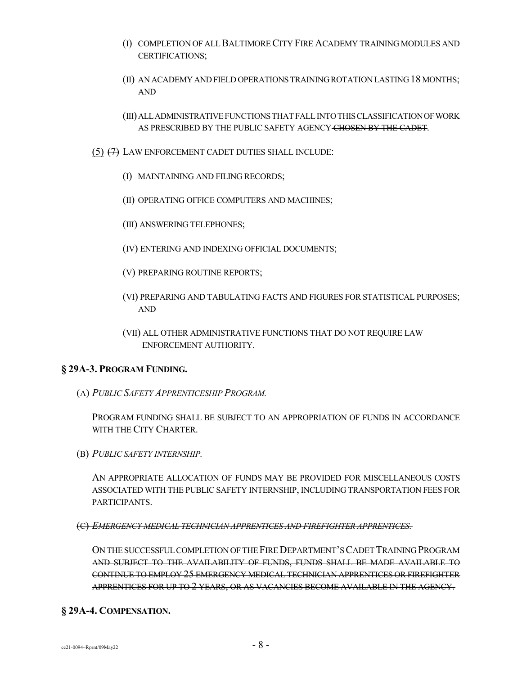- (I) COMPLETION OF ALLBALTIMORECITY FIRE ACADEMY TRAINING MODULES AND CERTIFICATIONS;
- (II) AN ACADEMY AND FIELD OPERATIONSTRAININGROTATION LASTING18 MONTHS; AND
- (III)ALLADMINISTRATIVEFUNCTIONSTHATFALLINTOTHISCLASSIFICATIONOFWORK AS PRESCRIBED BY THE PUBLIC SAFETY AGENCY CHOSEN BY THE CADET.
- (5) (7) LAW ENFORCEMENT CADET DUTIES SHALL INCLUDE:
	- (I) MAINTAINING AND FILING RECORDS;
	- (II) OPERATING OFFICE COMPUTERS AND MACHINES;
	- (III) ANSWERING TELEPHONES;
	- (IV) ENTERING AND INDEXING OFFICIAL DOCUMENTS;
	- (V) PREPARING ROUTINE REPORTS;
	- (VI) PREPARING AND TABULATING FACTS AND FIGURES FOR STATISTICAL PURPOSES; AND
	- (VII) ALL OTHER ADMINISTRATIVE FUNCTIONS THAT DO NOT REQUIRE LAW ENFORCEMENT AUTHORITY.

#### **§ 29A-3. PROGRAM FUNDING.**

(A) *PUBLIC SAFETY APPRENTICESHIP PROGRAM.*

PROGRAM FUNDING SHALL BE SUBJECT TO AN APPROPRIATION OF FUNDS IN ACCORDANCE WITH THE CITY CHARTER.

(B) *PUBLIC SAFETY INTERNSHIP.*

AN APPROPRIATE ALLOCATION OF FUNDS MAY BE PROVIDED FOR MISCELLANEOUS COSTS ASSOCIATED WITH THE PUBLIC SAFETY INTERNSHIP, INCLUDING TRANSPORTATION FEES FOR PARTICIPANTS.

(C) *EMERGENCY MEDICAL TECHNICIAN APPRENTICES AND FIREFIGHTER APPRENTICES.*

ONTHESUCCESSFULCOMPLETION OFTHEFIREDEPARTMENT'SCADET TRAINING PROGRAM AND SUBJECT TO THE AVAILABILITY OF FUNDS, FUNDS SHALL BE MADE AVAILABLE TO CONTINUE TO EMPLOY 25 EMERGENCY MEDICAL TECHNICIAN APPRENTICES OR FIREFIGHTER APPRENTICES FOR UP TO 2 YEARS, OR AS VACANCIES BECOME AVAILABLE IN THE AGENCY.

## **§ 29A-4. COMPENSATION.**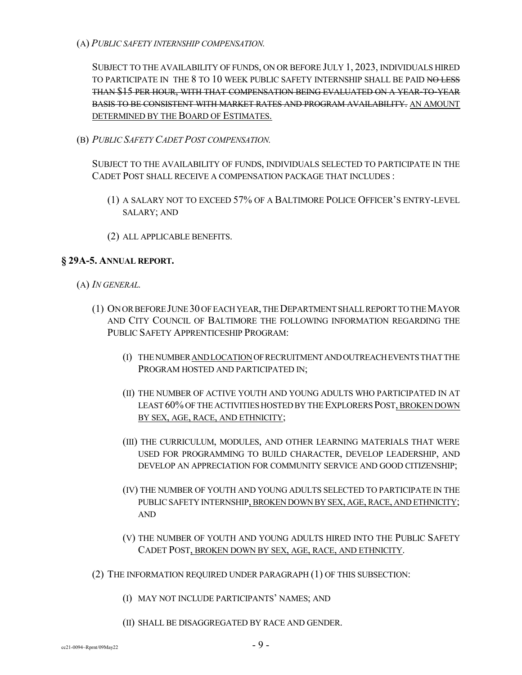(A) *PUBLIC SAFETY INTERNSHIP COMPENSATION.*

SUBJECT TO THE AVAILABILITY OF FUNDS, ON OR BEFORE JULY 1, 2023, INDIVIDUALS HIRED TO PARTICIPATE IN THE 8 TO 10 WEEK PUBLIC SAFETY INTERNSHIP SHALL BE PAID NO LESS THAN \$15 PER HOUR, WITH THAT COMPENSATION BEING EVALUATED ON A YEAR-TO-YEAR BASIS TO BE CONSISTENT WITH MARKET RATES AND PROGRAM AVAILABILITY. AN AMOUNT DETERMINED BY THE BOARD OF ESTIMATES.

(B) *PUBLIC SAFETY CADET POST COMPENSATION.*

SUBJECT TO THE AVAILABILITY OF FUNDS, INDIVIDUALS SELECTED TO PARTICIPATE IN THE CADET POST SHALL RECEIVE A COMPENSATION PACKAGE THAT INCLUDES :

- (1) A SALARY NOT TO EXCEED 57% OF A BALTIMORE POLICE OFFICER'S ENTRY-LEVEL SALARY; AND
- (2) ALL APPLICABLE BENEFITS.

### **§ 29A-5. ANNUAL REPORT.**

- (A) *IN GENERAL.*
	- (1) ONORBEFOREJUNE30 OFEACHYEAR,THEDEPARTMENTSHALLREPORTTOTHEMAYOR AND CITY COUNCIL OF BALTIMORE THE FOLLOWING INFORMATION REGARDING THE PUBLIC SAFETY APPRENTICESHIP PROGRAM:
		- (I) THENUMBERANDLOCATIONOFRECRUITMENTANDOUTREACHEVENTSTHATTHE PROGRAM HOSTED AND PARTICIPATED IN;
		- (II) THE NUMBER OF ACTIVE YOUTH AND YOUNG ADULTS WHO PARTICIPATED IN AT LEAST 60% OF THE ACTIVITIES HOSTED BY THE EXPLORERS POST, BROKEN DOWN BY SEX, AGE, RACE, AND ETHNICITY;
		- (III) THE CURRICULUM, MODULES, AND OTHER LEARNING MATERIALS THAT WERE USED FOR PROGRAMMING TO BUILD CHARACTER, DEVELOP LEADERSHIP, AND DEVELOP AN APPRECIATION FOR COMMUNITY SERVICE AND GOOD CITIZENSHIP;
		- (IV) THE NUMBER OF YOUTH AND YOUNG ADULTS SELECTED TO PARTICIPATE IN THE PUBLICSAFETY INTERNSHIP, BROKEN DOWN BY SEX, AGE, RACE, AND ETHNICITY; AND
		- (V) THE NUMBER OF YOUTH AND YOUNG ADULTS HIRED INTO THE PUBLIC SAFETY CADET POST, BROKEN DOWN BY SEX, AGE, RACE, AND ETHNICITY.
	- (2) THE INFORMATION REQUIRED UNDER PARAGRAPH (1) OF THIS SUBSECTION:
		- (I) MAY NOT INCLUDE PARTICIPANTS' NAMES; AND
		- (II) SHALL BE DISAGGREGATED BY RACE AND GENDER.